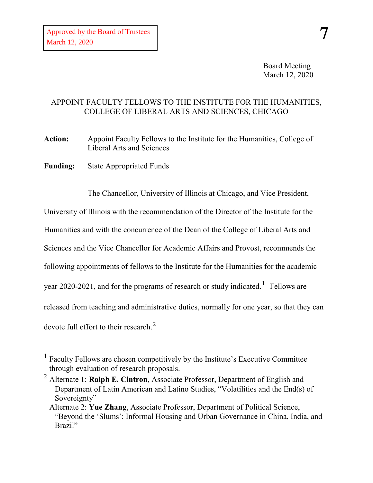Board Meeting March 12, 2020

## APPOINT FACULTY FELLOWS TO THE INSTITUTE FOR THE HUMANITIES, COLLEGE OF LIBERAL ARTS AND SCIENCES, CHICAGO

**Action:** Appoint Faculty Fellows to the Institute for the Humanities, College of Liberal Arts and Sciences

**Funding:** State Appropriated Funds

-

The Chancellor, University of Illinois at Chicago, and Vice President,

University of Illinois with the recommendation of the Director of the Institute for the Humanities and with the concurrence of the Dean of the College of Liberal Arts and Sciences and the Vice Chancellor for Academic Affairs and Provost, recommends the following appointments of fellows to the Institute for the Humanities for the academic year 2020-202[1](#page-0-0), and for the programs of research or study indicated.  $^1$  Fellows are released from teaching and administrative duties, normally for one year, so that they can devote full effort to their research.<sup>[2](#page-0-1)</sup>

<span id="page-0-0"></span><sup>&</sup>lt;sup>1</sup> Faculty Fellows are chosen competitively by the Institute's Executive Committee through evaluation of research proposals.

<span id="page-0-1"></span><sup>2</sup> Alternate 1: **Ralph E. Cintron**, Associate Professor, Department of English and Department of Latin American and Latino Studies, "Volatilities and the End(s) of Sovereignty"

Alternate 2: **Yue Zhang**, Associate Professor, Department of Political Science, "Beyond the 'Slums': Informal Housing and Urban Governance in China, India, and Brazil"